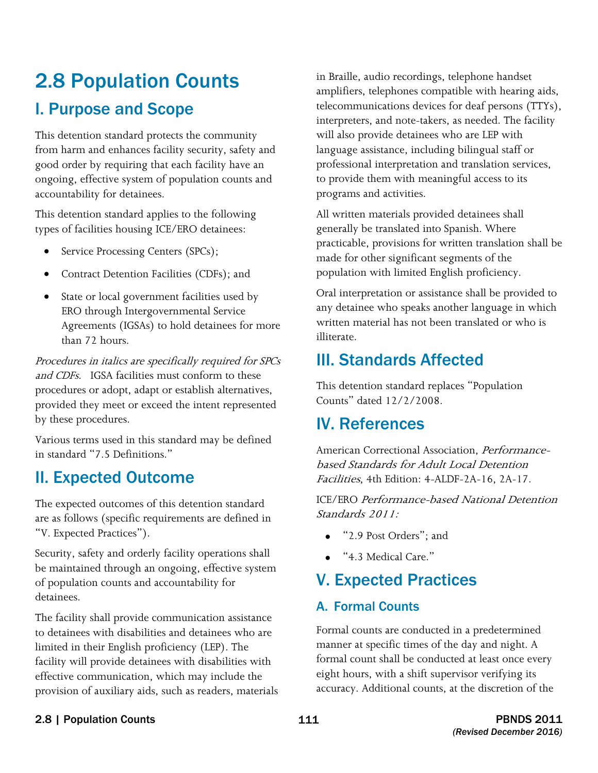# 2.8 Population Counts I. Purpose and Scope

This detention standard protects the community from harm and enhances facility security, safety and good order by requiring that each facility have an ongoing, effective system of population counts and accountability for detainees.

This detention standard applies to the following types of facilities housing ICE/ERO detainees:

- Service Processing Centers (SPCs);
- Contract Detention Facilities (CDFs); and
- State or local government facilities used by ERO through Intergovernmental Service Agreements (IGSAs) to hold detainees for more than 72 hours.

and CDFs. IGSA facilities must conform to these Procedures in italics are specifically required for SPCs procedures or adopt, adapt or establish alternatives, provided they meet or exceed the intent represented by these procedures.

Various terms used in this standard may be defined in standard "7.5 Definitions."

# II. Expected Outcome

The expected outcomes of this detention standard are as follows (specific requirements are defined in "V. Expected Practices").

Security, safety and orderly facility operations shall be maintained through an ongoing, effective system of population counts and accountability for detainees.

The facility shall provide communication assistance to detainees with disabilities and detainees who are limited in their English proficiency (LEP). The facility will provide detainees with disabilities with effective communication, which may include the provision of auxiliary aids, such as readers, materials

in Braille, audio recordings, telephone handset amplifiers, telephones compatible with hearing aids, telecommunications devices for deaf persons (TTYs), interpreters, and note-takers, as needed. The facility will also provide detainees who are LEP with language assistance, including bilingual staff or professional interpretation and translation services, to provide them with meaningful access to its programs and activities.

All written materials provided detainees shall generally be translated into Spanish. Where practicable, provisions for written translation shall be made for other significant segments of the population with limited English proficiency.

Oral interpretation or assistance shall be provided to any detainee who speaks another language in which written material has not been translated or who is illiterate.

# III. Standards Affected

This detention standard replaces "Population Counts" dated 12/2/2008.

# IV. References

American Correctional Association, Performancebased Standards for Adult Local Detention Facilities, 4th Edition: 4-ALDF-2A-16, 2A-17.

 Standards 2011: ICE/ERO Performance-based National Detention

- "2.9 Post Orders"; and
- "4.3 Medical Care."

# V. Expected Practices

#### A. Formal Counts

Formal counts are conducted in a predetermined manner at specific times of the day and night. A formal count shall be conducted at least once every eight hours, with a shift supervisor verifying its accuracy. Additional counts, at the discretion of the

#### 2.8 | Population Counts | 111 | 111 | 120 | PBNDS 2011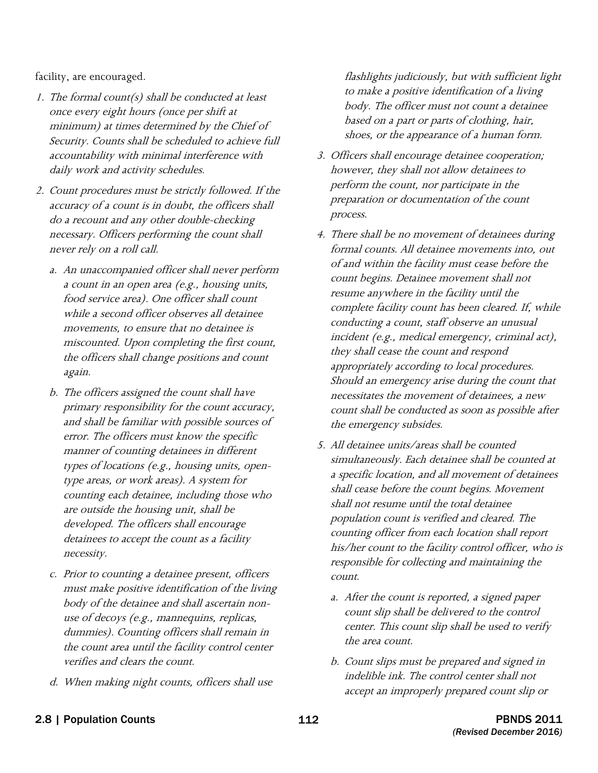facility, are encouraged.

- 1. The formal count(s) shall be conducted at least once every eight hours (once per shift at minimum) at times determined by the Chief of Security. Counts shall be scheduled to achieve full accountability with minimal interference with daily work and activity schedules.
- 2. Count procedures must be strictly followed. If the accuracy of a count is in doubt, the officers shall do a recount and any other double-checking necessary. Officers performing the count shall never rely on a roll call.
	- a. An unaccompanied officer shall never perform a count in an open area (e.g., housing units, food service area). One officer shall count while a second officer observes all detainee movements, to ensure that no detainee is miscounted. Upon completing the first count, the officers shall change positions and count again.
	- b. The officers assigned the count shall have primary responsibility for the count accuracy, and shall be familiar with possible sources of error. The officers must know the specific manner of counting detainees in different types of locations (e.g., housing units, opentype areas, or work areas). A system for counting each detainee, including those who are outside the housing unit, shall be developed. The officers shall encourage detainees to accept the count as a facility necessity.
	- body of the detainee and shall ascertain nonc. Prior to counting a detainee present, officers must make positive identification of the living use of decoys (e.g., mannequins, replicas, dummies). Counting officers shall remain in the count area until the facility control center verifies and clears the count.
	- d. When making night counts, officers shall use

flashlights judiciously, but with sufficient light to make a positive identification of a living body. The officer must not count a detainee based on a part or parts of clothing, hair, shoes, or the appearance of a human form.

- 3. Officers shall encourage detainee cooperation; however, they shall not allow detainees to perform the count, nor participate in the preparation or documentation of the count process.
- 4. There shall be no movement of detainees during formal counts. All detainee movements into, out of and within the facility must cease before the count begins. Detainee movement shall not resume anywhere in the facility until the complete facility count has been cleared. If, while conducting a count, staff observe an unusual incident (e.g., medical emergency, criminal act), they shall cease the count and respond appropriately according to local procedures. Should an emergency arise during the count that necessitates the movement of detainees, a new count shall be conducted as soon as possible after the emergency subsides.
- a specific location, and all movement of detainees shall cease before the count begins. Movement shall not resume until the total detainee population count is verified and cleared. The his/her count to the facility control officer, who is responsible for collecting and maintaining the 5. All detainee units/areas shall be counted simultaneously. Each detainee shall be counted at counting officer from each location shall report count.
	- a. After the count is reported, a signed paper count slip shall be delivered to the control center. This count slip shall be used to verify the area count.
	- b. Count slips must be prepared and signed in indelible ink. The control center shall not accept an improperly prepared count slip or
- 2.8 | Population Counts 112 PBNDS 2011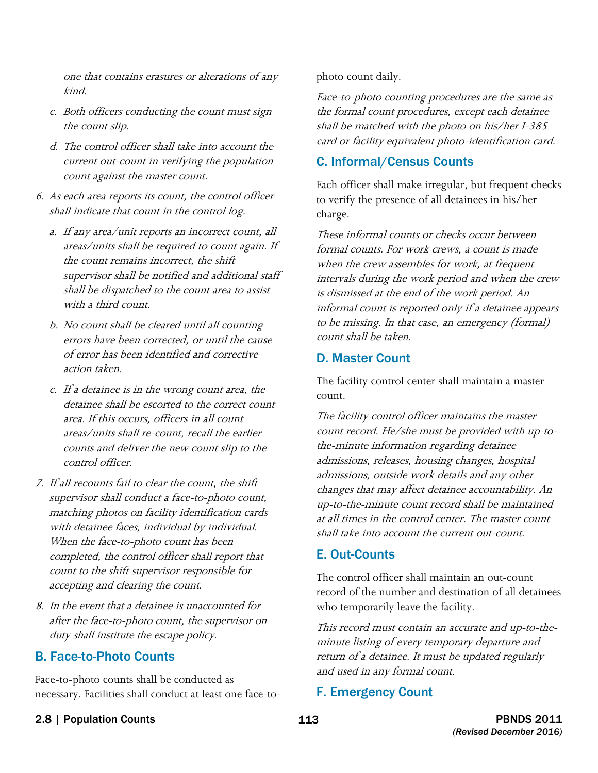one that contains erasures or alterations of any kind.

- c. Both officers conducting the count must sign the count slip.
- d. The control officer shall take into account the current out-count in verifying the population count against the master count.
- 6. As each area reports its count, the control officer shall indicate that count in the control log.
	- a. If any area/unit reports an incorrect count, all areas/units shall be required to count again. If the count remains incorrect, the shift supervisor shall be notified and additional staff shall be dispatched to the count area to assist with a third count.
	- b. No count shall be cleared until all counting errors have been corrected, or until the cause of error has been identified and corrective action taken.
	- c. If a detainee is in the wrong count area, the detainee shall be escorted to the correct count area. If this occurs, officers in all count areas/units shall re-count, recall the earlier counts and deliver the new count slip to the control officer.
- 7. If all recounts fail to clear the count, the shift supervisor shall conduct a face-to-photo count, matching photos on facility identification cards with detainee faces, individual by individual. When the face-to-photo count has been completed, the control officer shall report that count to the shift supervisor responsible for accepting and clearing the count.
- 8. In the event that a detainee is unaccounted for after the face-to-photo count, the supervisor on duty shall institute the escape policy.

### B. Face-to-Photo Counts

Face-to-photo counts shall be conducted as necessary. Facilities shall conduct at least one face-tophoto count daily.

Face-to-photo counting procedures are the same as the formal count procedures, except each detainee shall be matched with the photo on his/her I-385 card or facility equivalent photo-identification card.

### C. Informal/Census Counts

Each officer shall make irregular, but frequent checks to verify the presence of all detainees in his/her charge.

 informal count is reported only if a detainee appears These informal counts or checks occur between formal counts. For work crews, a count is made when the crew assembles for work, at frequent intervals during the work period and when the crew is dismissed at the end of the work period. An to be missing. In that case, an emergency (formal) count shall be taken.

#### D. Master Count

The facility control center shall maintain a master count.

The facility control officer maintains the master count record. He/she must be provided with up-tothe-minute information regarding detainee admissions, releases, housing changes, hospital admissions, outside work details and any other changes that may affect detainee accountability. An up-to-the-minute count record shall be maintained at all times in the control center. The master count shall take into account the current out-count.

### E. Out-Counts

The control officer shall maintain an out-count record of the number and destination of all detainees who temporarily leave the facility.

This record must contain an accurate and up-to-theminute listing of every temporary departure and return of a detainee. It must be updated regularly and used in any formal count.

### F. Emergency Count